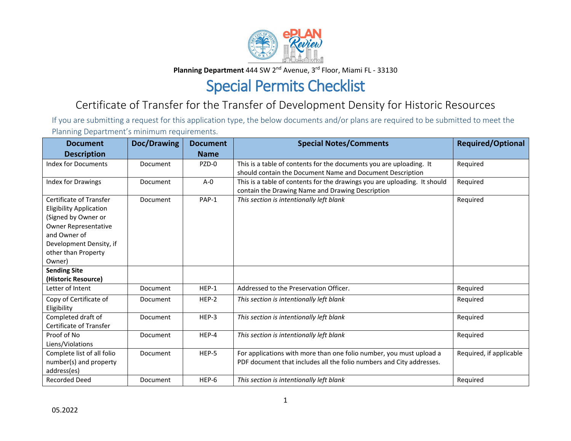

Planning Department 444 SW 2<sup>nd</sup> Avenue, 3<sup>rd</sup> Floor, Miami FL - 33130

## Special Permits Checklist

## Certificate of Transfer for the Transfer of Development Density for Historic Resources

If you are submitting a request for this application type, the below documents and/or plans are required to be submitted to meet the Planning Department's minimum requirements.

| <b>Document</b>                                                                                                                                                                      | Doc/Drawing | <b>Document</b> | <b>Special Notes/Comments</b>                                                                                                               | <b>Required/Optional</b> |
|--------------------------------------------------------------------------------------------------------------------------------------------------------------------------------------|-------------|-----------------|---------------------------------------------------------------------------------------------------------------------------------------------|--------------------------|
| <b>Description</b>                                                                                                                                                                   |             | <b>Name</b>     |                                                                                                                                             |                          |
| <b>Index for Documents</b>                                                                                                                                                           | Document    | PZD-0           | This is a table of contents for the documents you are uploading. It<br>should contain the Document Name and Document Description            | Required                 |
| <b>Index for Drawings</b>                                                                                                                                                            | Document    | $A - 0$         | This is a table of contents for the drawings you are uploading. It should<br>contain the Drawing Name and Drawing Description               | Required                 |
| Certificate of Transfer<br><b>Eligibility Application</b><br>(Signed by Owner or<br>Owner Representative<br>and Owner of<br>Development Density, if<br>other than Property<br>Owner) | Document    | PAP-1           | This section is intentionally left blank                                                                                                    | Required                 |
| <b>Sending Site</b><br>(Historic Resource)                                                                                                                                           |             |                 |                                                                                                                                             |                          |
| Letter of Intent                                                                                                                                                                     | Document    | HEP-1           | Addressed to the Preservation Officer.                                                                                                      | Required                 |
| Copy of Certificate of<br>Eligibility                                                                                                                                                | Document    | HEP-2           | This section is intentionally left blank                                                                                                    | Required                 |
| Completed draft of<br>Certificate of Transfer                                                                                                                                        | Document    | HEP-3           | This section is intentionally left blank                                                                                                    | Required                 |
| Proof of No<br>Liens/Violations                                                                                                                                                      | Document    | HEP-4           | This section is intentionally left blank                                                                                                    | Required                 |
| Complete list of all folio<br>number(s) and property<br>address(es)                                                                                                                  | Document    | HEP-5           | For applications with more than one folio number, you must upload a<br>PDF document that includes all the folio numbers and City addresses. | Required, if applicable  |
| <b>Recorded Deed</b>                                                                                                                                                                 | Document    | HEP-6           | This section is intentionally left blank                                                                                                    | Required                 |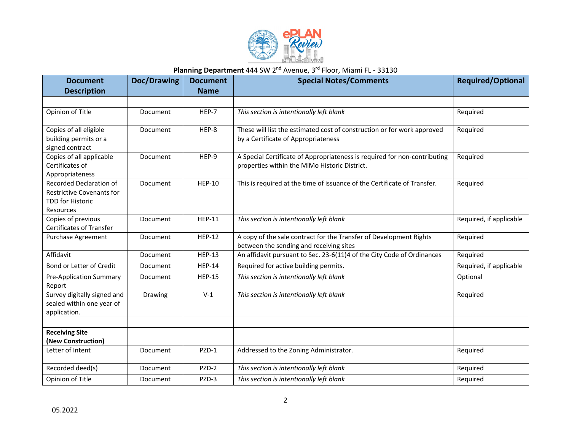

## Planning Department 444 SW 2<sup>nd</sup> Avenue, 3<sup>rd</sup> Floor, Miami FL - 33130

| <b>Document</b>                                                                                     | <b>Doc/Drawing</b> | <b>Document</b> | <b>Special Notes/Comments</b>                                                                                              | <b>Required/Optional</b> |
|-----------------------------------------------------------------------------------------------------|--------------------|-----------------|----------------------------------------------------------------------------------------------------------------------------|--------------------------|
| <b>Description</b>                                                                                  |                    | <b>Name</b>     |                                                                                                                            |                          |
|                                                                                                     |                    |                 |                                                                                                                            |                          |
| Opinion of Title                                                                                    | Document           | HEP-7           | This section is intentionally left blank                                                                                   | Required                 |
| Copies of all eligible<br>building permits or a<br>signed contract                                  | Document           | HEP-8           | These will list the estimated cost of construction or for work approved<br>by a Certificate of Appropriateness             | Required                 |
| Copies of all applicable<br>Certificates of<br>Appropriateness                                      | Document           | HEP-9           | A Special Certificate of Appropriateness is required for non-contributing<br>properties within the MiMo Historic District. | Required                 |
| Recorded Declaration of<br><b>Restrictive Covenants for</b><br><b>TDD for Historic</b><br>Resources | Document           | <b>HEP-10</b>   | This is required at the time of issuance of the Certificate of Transfer.                                                   | Required                 |
| Copies of previous<br><b>Certificates of Transfer</b>                                               | Document           | <b>HEP-11</b>   | This section is intentionally left blank                                                                                   | Required, if applicable  |
| Purchase Agreement                                                                                  | Document           | <b>HEP-12</b>   | A copy of the sale contract for the Transfer of Development Rights<br>between the sending and receiving sites              | Required                 |
| Affidavit                                                                                           | Document           | <b>HEP-13</b>   | An affidavit pursuant to Sec. 23-6(11)4 of the City Code of Ordinances                                                     | Required                 |
| Bond or Letter of Credit                                                                            | Document           | <b>HEP-14</b>   | Required for active building permits.                                                                                      | Required, if applicable  |
| <b>Pre-Application Summary</b><br>Report                                                            | Document           | <b>HEP-15</b>   | This section is intentionally left blank                                                                                   | Optional                 |
| Survey digitally signed and<br>sealed within one year of<br>application.                            | Drawing            | $V-1$           | This section is intentionally left blank                                                                                   | Required                 |
|                                                                                                     |                    |                 |                                                                                                                            |                          |
| <b>Receiving Site</b><br>(New Construction)                                                         |                    |                 |                                                                                                                            |                          |
| Letter of Intent                                                                                    | Document           | PZD-1           | Addressed to the Zoning Administrator.                                                                                     | Required                 |
| Recorded deed(s)                                                                                    | Document           | PZD-2           | This section is intentionally left blank                                                                                   | Required                 |
| Opinion of Title                                                                                    | Document           | PZD-3           | This section is intentionally left blank                                                                                   | Required                 |